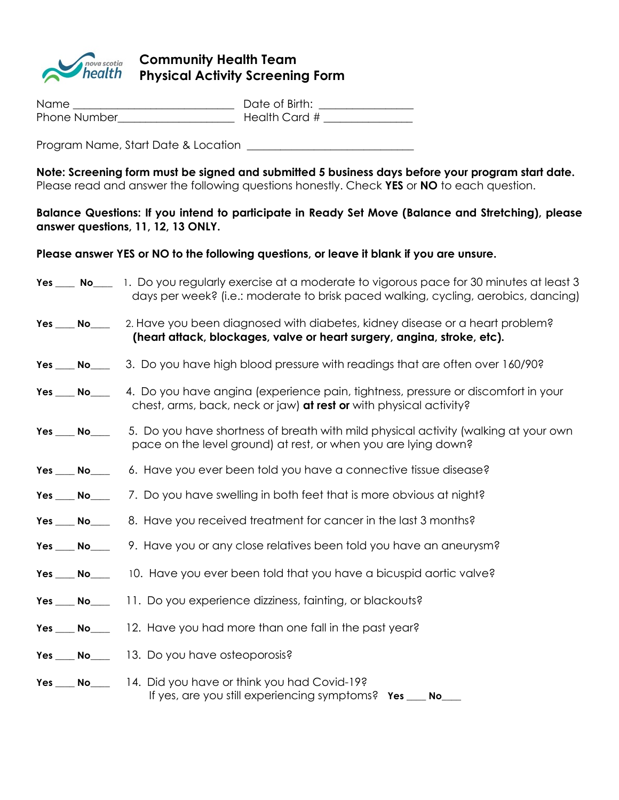

## *Rova scotia* Community Health Team<br>*health* **Physical Activity Screenir Physical Activity Screening Form**

| Name         | Date of Birth: |
|--------------|----------------|
| Phone Number | Health Card #  |

Program Name, Start Date & Location \_\_\_\_\_\_\_\_\_\_\_\_\_\_\_\_\_\_\_\_\_\_\_\_\_\_\_\_\_\_

**Note: Screening form must be signed and submitted 5 business days before your program start date.** Please read and answer the following questions honestly. Check **YES** or **NO** to each question.

**Balance Questions: If you intend to participate in Ready Set Move (Balance and Stretching), please answer questions, 11, 12, 13 ONLY.** 

**Please answer YES or NO to the following questions, or leave it blank if you are unsure.** 

|                 | Yes ____ No____ 1. Do you regularly exercise at a moderate to vigorous pace for 30 minutes at least 3<br>days per week? (i.e.: moderate to brisk paced walking, cycling, aerobics, dancing) |  |
|-----------------|---------------------------------------------------------------------------------------------------------------------------------------------------------------------------------------------|--|
|                 | Yes <u>No</u> 2. Have you been diagnosed with diabetes, kidney disease or a heart problem?<br>(heart attack, blockages, valve or heart surgery, angina, stroke, etc).                       |  |
| $Yes$ No $\_\_$ | 3. Do you have high blood pressure with readings that are often over 160/90?                                                                                                                |  |
|                 | Yes <u>No</u> A. Do you have angina (experience pain, fightness, pressure or discomfort in your<br>chest, arms, back, neck or jaw) at rest or with physical activity?                       |  |
| $Yes$ No $\_\_$ | 5. Do you have shortness of breath with mild physical activity (walking at your own<br>pace on the level ground) at rest, or when you are lying down?                                       |  |
| Yes No          | 6. Have you ever been told you have a connective tissue disease?                                                                                                                            |  |
|                 | Yes ____ No__________ 7. Do you have swelling in both feet that is more obvious at night?                                                                                                   |  |
| $Yes$ No $\_\_$ | 8. Have you received treatment for cancer in the last 3 months?                                                                                                                             |  |
|                 | Yes ___ No________9. Have you or any close relatives been told you have an aneurysm?                                                                                                        |  |
|                 | Yes ____ No_______ 10. Have you ever been told that you have a bicuspid aortic valve?                                                                                                       |  |
| $Yes$ No $\_\_$ | 11. Do you experience dizziness, fainting, or blackouts?                                                                                                                                    |  |
| Yes No          | 12. Have you had more than one fall in the past year?                                                                                                                                       |  |
| $Yes$ No $\_\_$ | 13. Do you have osteoporosis?                                                                                                                                                               |  |
| Yes No          | 14. Did you have or think you had Covid-19?<br>If yes, are you still experiencing symptoms? Yes _<br>No                                                                                     |  |